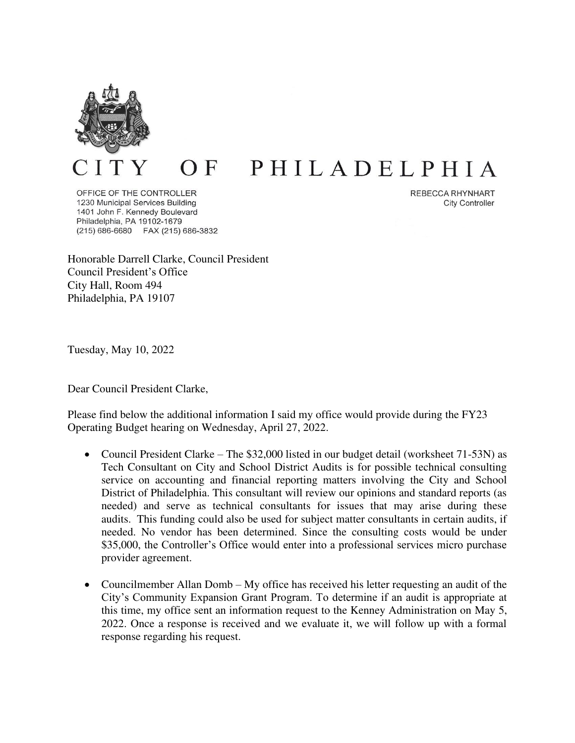

## PHILADELPHIA  $\overline{O}$  F

OFFICE OF THE CONTROLLER 1230 Municipal Services Building 1401 John F. Kennedy Boulevard Philadelphia, PA 19102-1679 (215) 686-6680 FAX (215) 686-3832 REBECCA RHYNHART **City Controller** 

Honorable Darrell Clarke, Council President Council President's Office City Hall, Room 494 Philadelphia, PA 19107

Tuesday, May 10, 2022

Dear Council President Clarke,

Please find below the additional information I said my office would provide during the FY23 Operating Budget hearing on Wednesday, April 27, 2022.

- Council President Clarke The \$32,000 listed in our budget detail (worksheet 71-53N) as Tech Consultant on City and School District Audits is for possible technical consulting service on accounting and financial reporting matters involving the City and School District of Philadelphia. This consultant will review our opinions and standard reports (as needed) and serve as technical consultants for issues that may arise during these audits. This funding could also be used for subject matter consultants in certain audits, if needed. No vendor has been determined. Since the consulting costs would be under \$35,000, the Controller's Office would enter into a professional services micro purchase provider agreement.
- Councilmember Allan Domb My office has received his letter requesting an audit of the City's Community Expansion Grant Program. To determine if an audit is appropriate at this time, my office sent an information request to the Kenney Administration on May 5, 2022. Once a response is received and we evaluate it, we will follow up with a formal response regarding his request.